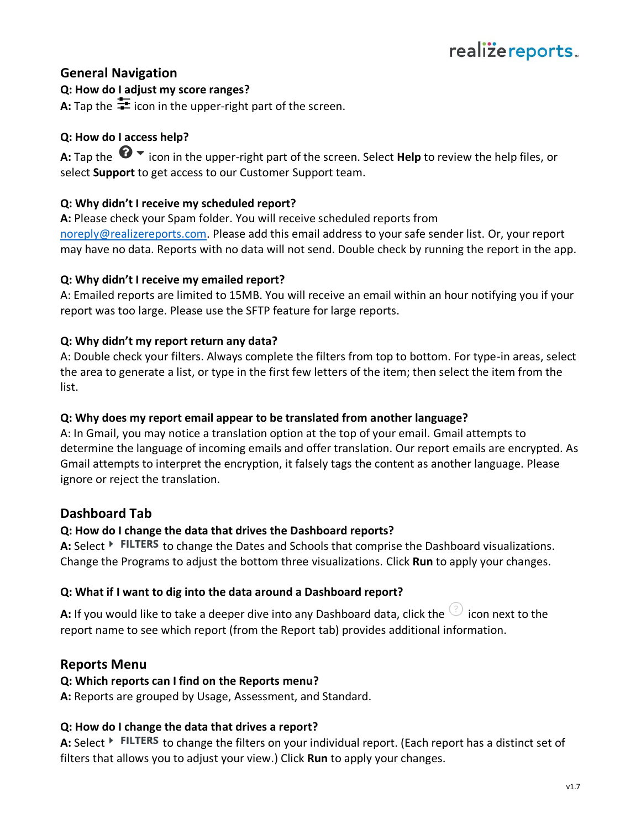## **General Navigation**

## **Q: How do I adjust my score ranges?**

**A:** Tap the  $\frac{1}{\sqrt{2}}$  icon in the upper-right part of the screen.

## **Q: How do I access help?**

**A:** Tap the  $\bullet$   $\bullet$  icon in the upper-right part of the screen. Select **Help** to review the help files, or select **Support** to get access to our Customer Support team.

## **Q: Why didn't I receive my scheduled report?**

**A:** Please check your Spam folder. You will receive scheduled reports from [noreply@realizereports.com.](mailto:noreply@realizereports.com) Please add this email address to your safe sender list. Or, your report may have no data. Reports with no data will not send. Double check by running the report in the app.

## **Q: Why didn't I receive my emailed report?**

A: Emailed reports are limited to 15MB. You will receive an email within an hour notifying you if your report was too large. Please use the SFTP feature for large reports.

## **Q: Why didn't my report return any data?**

A: Double check your filters. Always complete the filters from top to bottom. For type-in areas, select the area to generate a list, or type in the first few letters of the item; then select the item from the list.

### **Q: Why does my report email appear to be translated from another language?**

A: In Gmail, you may notice a translation option at the top of your email. Gmail attempts to determine the language of incoming emails and offer translation. Our report emails are encrypted. As Gmail attempts to interpret the encryption, it falsely tags the content as another language. Please ignore or reject the translation.

# **Dashboard Tab**

### **Q: How do I change the data that drives the Dashboard reports?**

A: Select  $\rightarrow$  FILTERS to change the Dates and Schools that comprise the Dashboard visualizations. Change the Programs to adjust the bottom three visualizations. Click **Run** to apply your changes.

### **Q: What if I want to dig into the data around a Dashboard report?**

**A:** If you would like to take a deeper dive into any Dashboard data, click the  $\bigcirc$  icon next to the report name to see which report (from the Report tab) provides additional information.

## **Reports Menu**

## **Q: Which reports can I find on the Reports menu?**

**A:** Reports are grouped by Usage, Assessment, and Standard.

### **Q: How do I change the data that drives a report?**

A: Select  $\rightarrow$  FILTERS to change the filters on your individual report. (Each report has a distinct set of filters that allows you to adjust your view.) Click **Run** to apply your changes.